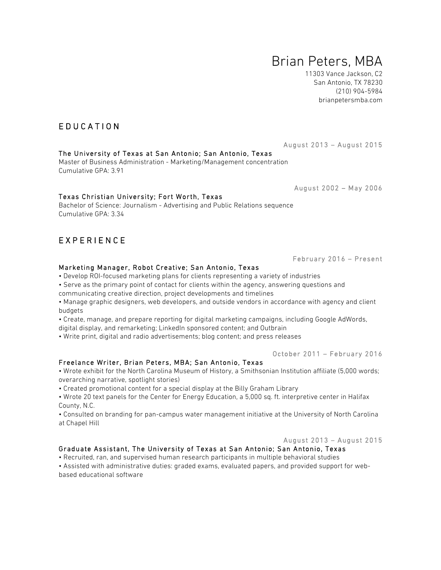# Brian Peters, MBA

11303 Vance Jackson, C2 San Antonio, TX 78230 (210) 904-5984 brianpetersmba.com

August 2013 – August 2015

#### August 2002 – May 2006

February 2016 – Present

#### Marketing Manager, Robot Creative; San Antonio, Texas

The University of Texas at San Antonio; San Antonio, Texas Master of Business Administration - Marketing/Management concentration

Bachelor of Science: Journalism - Advertising and Public Relations sequence

Texas Christian University; Fort Worth, Texas

- Develop ROI-focused marketing plans for clients representing a variety of industries
- Serve as the primary point of contact for clients within the agency, answering questions and
- communicating creative direction, project developments and timelines
- Manage graphic designers, web developers, and outside vendors in accordance with agency and client budgets
- Create, manage, and prepare reporting for digital marketing campaigns, including Google AdWords,
- digital display, and remarketing; LinkedIn sponsored content; and Outbrain
- Write print, digital and radio advertisements; blog content; and press releases

#### October 2011 – February 2016

### Freelance Writer, Brian Peters, MBA; San Antonio, Texas

• Wrote exhibit for the North Carolina Museum of History, a Smithsonian Institution affiliate (5,000 words; overarching narrative, spotlight stories)

• Created promotional content for a special display at the Billy Graham Library

• Wrote 20 text panels for the Center for Energy Education, a 5,000 sq. ft. interpretive center in Halifax County, N.C.

• Consulted on branding for pan-campus water management initiative at the University of North Carolina at Chapel Hill

August 2013 – August 2015

## Graduate Assistant, The University of Texas at San Antonio; San Antonio, Texas

• Recruited, ran, and supervised human research participants in multiple behavioral studies

• Assisted with administrative duties: graded exams, evaluated papers, and provided support for webbased educational software

## EDUCATION

Cumulative GPA: 3.91

## EXPERIENCE

Cumulative GPA: 3.34